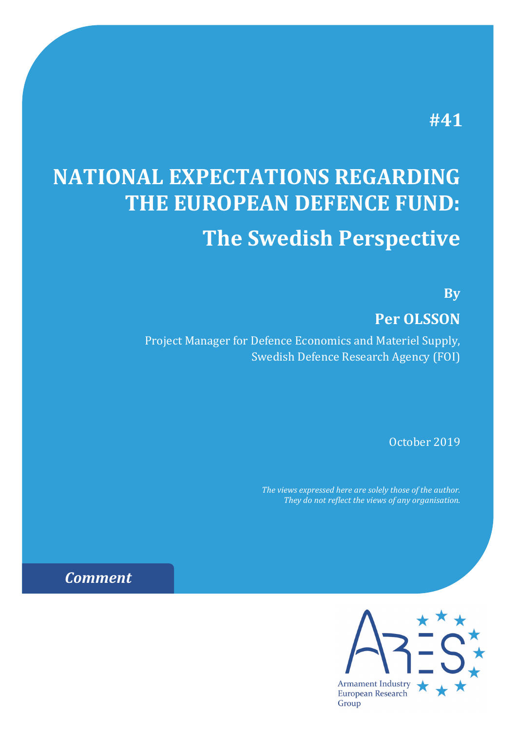## **#41**

# **NATIONAL EXPECTATIONS REGARDING THE EUROPEAN DEFENCE FUND: The Swedish Perspective**

**By**

## **Per OLSSON**

Project Manager for Defence Economics and Materiel Supply, Swedish Defence Research Agency (FOI)

October 2019

*The views expressed here are solely those of the author. They do not reflect the views of any organisation.*



*Comment*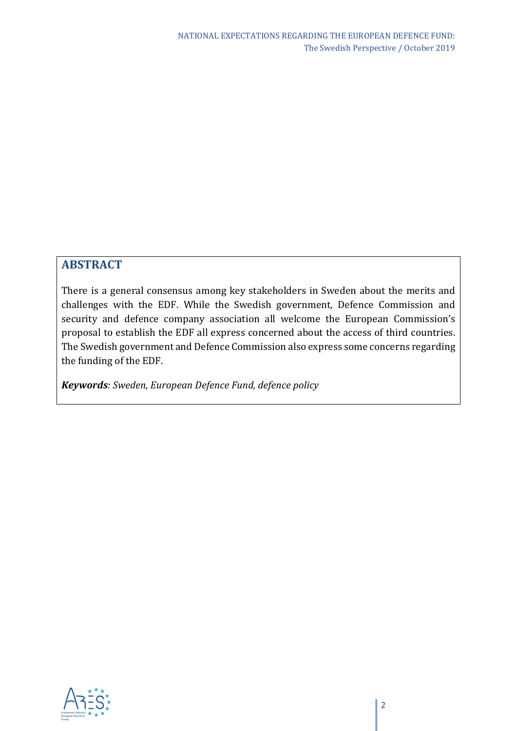### **ABSTRACT**

There is a general consensus among key stakeholders in Sweden about the merits and challenges with the EDF. While the Swedish government, Defence Commission and security and defence company association all welcome the European Commission's proposal to establish the EDF all express concerned about the access of third countries. The Swedish government and Defence Commission also express some concerns regarding the funding of the EDF.

*Keywords: Sweden, European Defence Fund, defence policy*

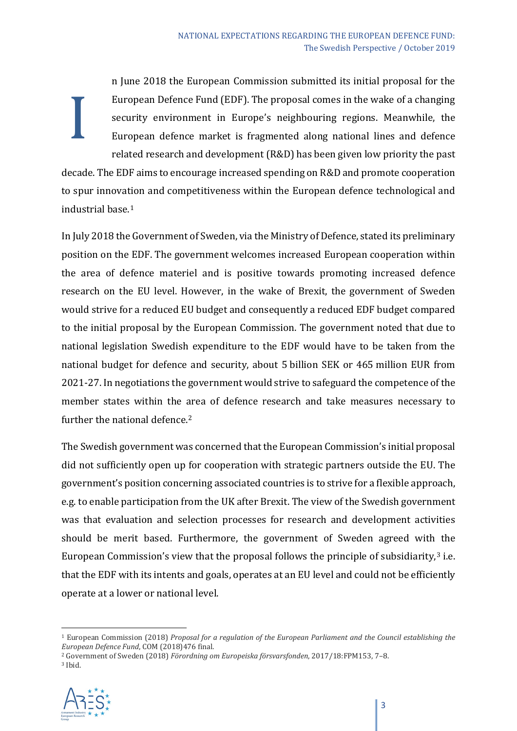n June 2018 the European Commission submitted its initial proposal for the European Defence Fund (EDF). The proposal comes in the wake of a changing security environment in Europe's neighbouring regions. Meanwhile, the European defence market is fragmented along national lines and defence related research and development (R&D) has been given low priority the past decade. The EDF aims to encourage increased spending on R&D and promote cooperation to spur innovation and competitiveness within the European defence technological and industrial base.[1](#page-2-0) I

In July 2018 the Government of Sweden, via the Ministry of Defence, stated its preliminary position on the EDF. The government welcomes increased European cooperation within the area of defence materiel and is positive towards promoting increased defence research on the EU level. However, in the wake of Brexit, the government of Sweden would strive for a reduced EU budget and consequently a reduced EDF budget compared to the initial proposal by the European Commission. The government noted that due to national legislation Swedish expenditure to the EDF would have to be taken from the national budget for defence and security, about 5 billion SEK or 465 million EUR from 2021-27. In negotiations the government would strive to safeguard the competence of the member states within the area of defence research and take measures necessary to further the national defence.[2](#page-2-1)

The Swedish government was concerned that the European Commission's initial proposal did not sufficiently open up for cooperation with strategic partners outside the EU. The government's position concerning associated countries is to strive for a flexible approach, e.g. to enable participation from the UK after Brexit. The view of the Swedish government was that evaluation and selection processes for research and development activities should be merit based. Furthermore, the government of Sweden agreed with the European Commission's view that the proposal follows the principle of subsidiarity, $3$  i.e. that the EDF with its intents and goals, operates at an EU level and could not be efficiently operate at a lower or national level.

<span id="page-2-2"></span><span id="page-2-1"></span><sup>3</sup> Ibid.



<span id="page-2-0"></span><sup>1</sup> European Commission (2018) *Proposal for a regulation of the European Parliament and the Council establishing the European Defence Fund*, COM (2018)476 final.

<sup>2</sup> Government of Sweden (2018) *Förordning om Europeiska försvarsfonden*, 2017/18:FPM153, 7–8.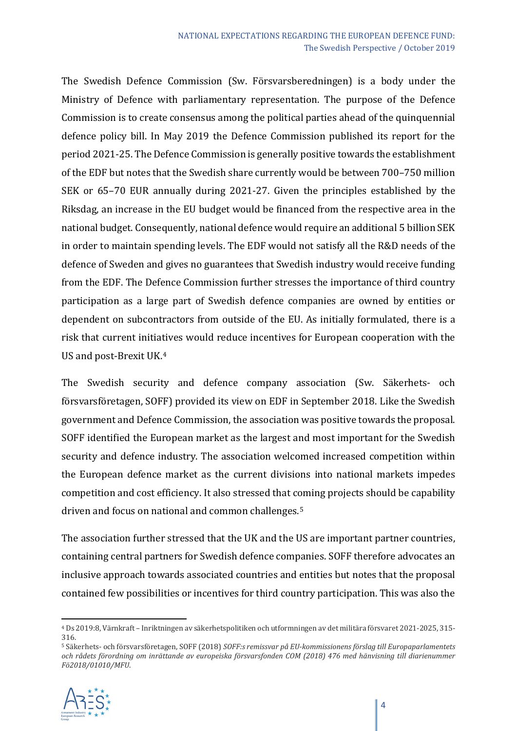The Swedish Defence Commission (Sw. Försvarsberedningen) is a body under the Ministry of Defence with parliamentary representation. The purpose of the Defence Commission is to create consensus among the political parties ahead of the quinquennial defence policy bill. In May 2019 the Defence Commission published its report for the period 2021-25. The Defence Commission is generally positive towards the establishment of the EDF but notes that the Swedish share currently would be between 700–750 million SEK or 65–70 EUR annually during 2021-27. Given the principles established by the Riksdag, an increase in the EU budget would be financed from the respective area in the national budget. Consequently, national defence would require an additional 5 billion SEK in order to maintain spending levels. The EDF would not satisfy all the R&D needs of the defence of Sweden and gives no guarantees that Swedish industry would receive funding from the EDF. The Defence Commission further stresses the importance of third country participation as a large part of Swedish defence companies are owned by entities or dependent on subcontractors from outside of the EU. As initially formulated, there is a risk that current initiatives would reduce incentives for European cooperation with the US and post-Brexit UK.[4](#page-3-0)

The Swedish security and defence company association (Sw. Säkerhets- och försvarsföretagen, SOFF) provided its view on EDF in September 2018. Like the Swedish government and Defence Commission, the association was positive towards the proposal. SOFF identified the European market as the largest and most important for the Swedish security and defence industry. The association welcomed increased competition within the European defence market as the current divisions into national markets impedes competition and cost efficiency. It also stressed that coming projects should be capability driven and focus on national and common challenges.[5](#page-3-1)

The association further stressed that the UK and the US are important partner countries, containing central partners for Swedish defence companies. SOFF therefore advocates an inclusive approach towards associated countries and entities but notes that the proposal contained few possibilities or incentives for third country participation. This was also the

<span id="page-3-1"></span><span id="page-3-0"></span><sup>5</sup> Säkerhets- och försvarsföretagen, SOFF (2018) *SOFF:s remissvar på EU-kommissionens förslag till Europaparlamentets och rådets förordning om inrättande av europeiska försvarsfonden COM (2018) 476 med hänvisning till diarienummer Fö2018/01010/MFU*.



<sup>4</sup> Ds 2019:8, Värnkraft – Inriktningen av säkerhetspolitiken och utformningen av det militära försvaret 2021-2025, 315- 316.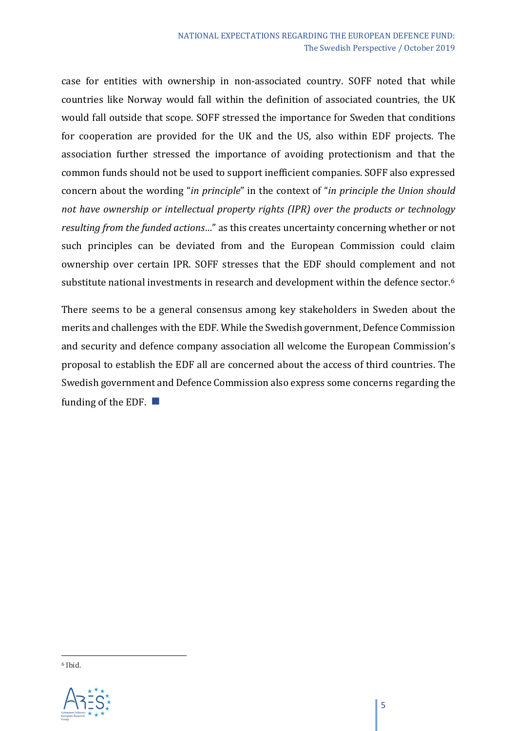case for entities with ownership in non-associated country. SOFF noted that while countries like Norway would fall within the definition of associated countries, the UK would fall outside that scope. SOFF stressed the importance for Sweden that conditions for cooperation are provided for the UK and the US, also within EDF projects. The association further stressed the importance of avoiding protectionism and that the common funds should not be used to support inefficient companies. SOFF also expressed concern about the wording "*in principle*" in the context of "*in principle the Union should not have ownership or intellectual property rights (IPR) over the products or technology resulting from the funded actions…*" as this creates uncertainty concerning whether or not such principles can be deviated from and the European Commission could claim ownership over certain IPR. SOFF stresses that the EDF should complement and not substitute national investments in research and development within the defence sector.<sup>[6](#page-4-0)</sup>

There seems to be a general consensus among key stakeholders in Sweden about the merits and challenges with the EDF. While the Swedish government, Defence Commission and security and defence company association all welcome the European Commission's proposal to establish the EDF all are concerned about the access of third countries. The Swedish government and Defence Commission also express some concerns regarding the funding of the EDF.  $\blacksquare$ 

<span id="page-4-0"></span><sup>6</sup> Ibid.

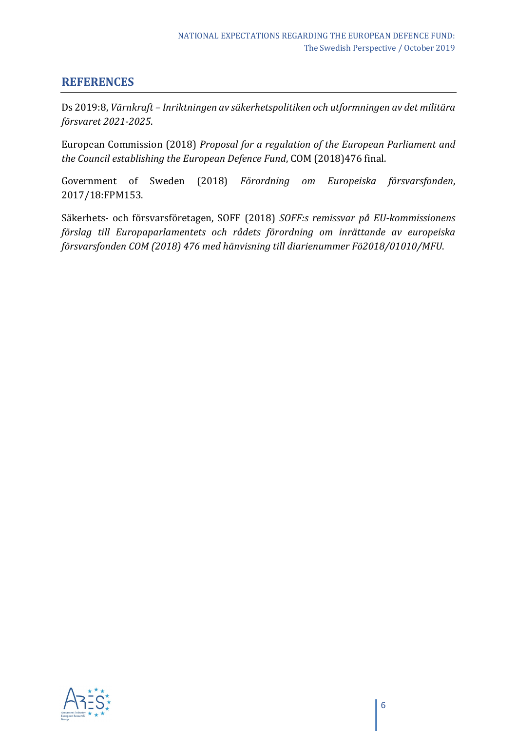#### **REFERENCES**

Ds 2019:8, *Värnkraft – Inriktningen av säkerhetspolitiken och utformningen av det militära försvaret 2021-2025*.

European Commission (2018) *Proposal for a regulation of the European Parliament and the Council establishing the European Defence Fund*, COM (2018)476 final.

Government of Sweden (2018) *Förordning om Europeiska försvarsfonden*, 2017/18:FPM153.

Säkerhets- och försvarsföretagen, SOFF (2018) *SOFF:s remissvar på EU-kommissionens förslag till Europaparlamentets och rådets förordning om inrättande av europeiska försvarsfonden COM (2018) 476 med hänvisning till diarienummer Fö2018/01010/MFU*.